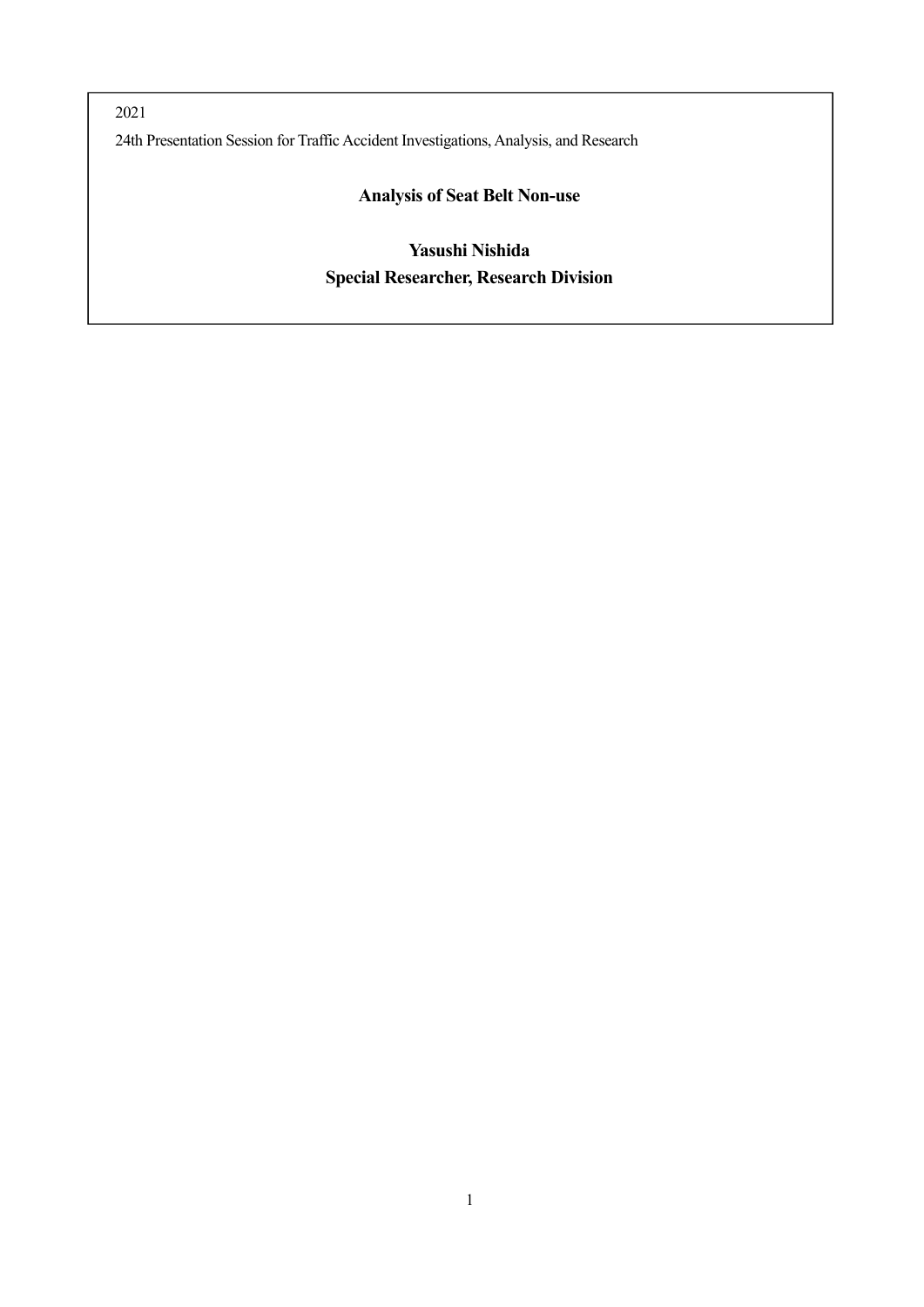2021 24th Presentation Session for Traffic Accident Investigations, Analysis, and Research

## **Analysis of Seat Belt Non-use**

# **Yasushi Nishida Special Researcher, Research Division**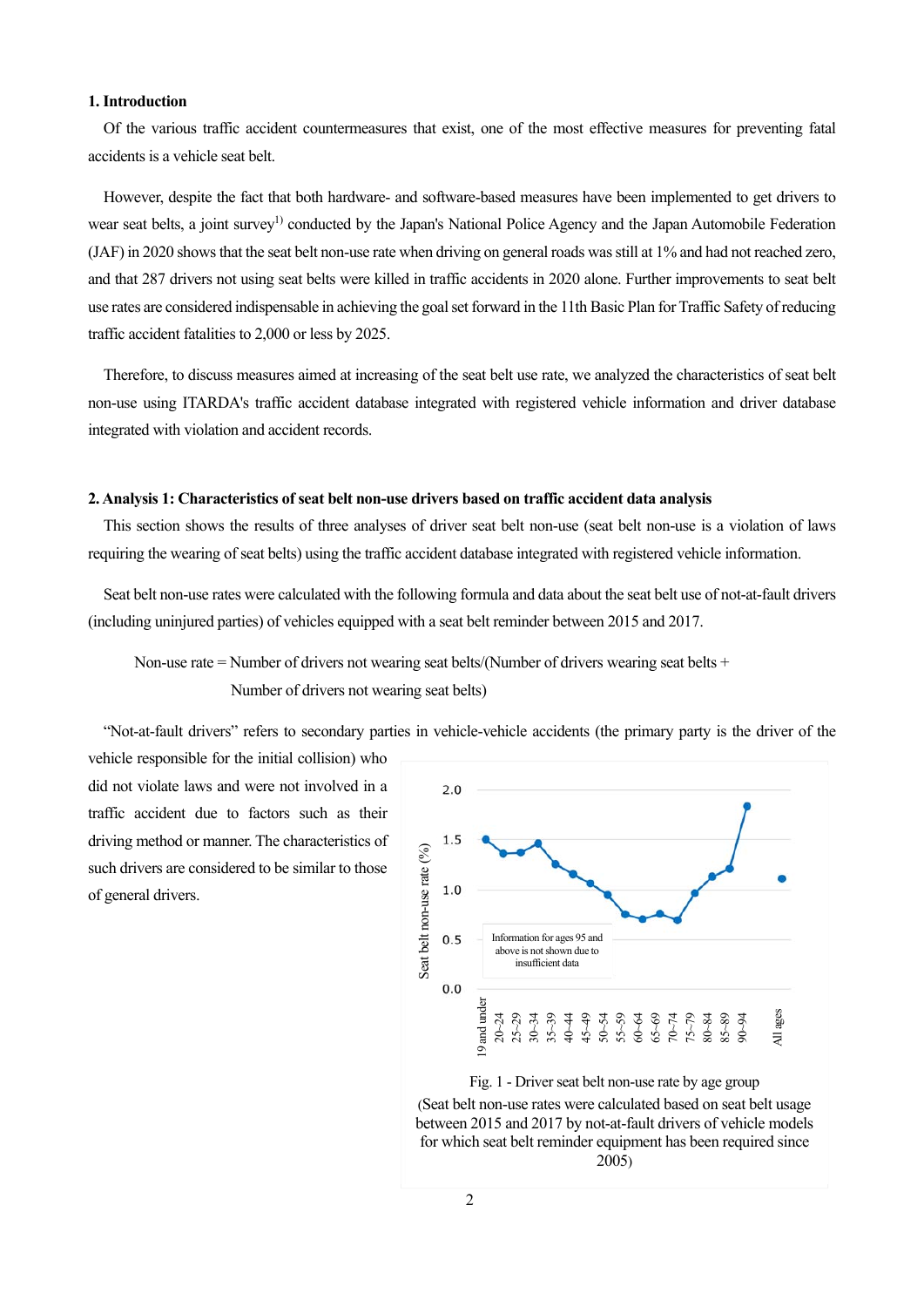## **1. Introduction**

Of the various traffic accident countermeasures that exist, one of the most effective measures for preventing fatal accidents is a vehicle seat belt.

However, despite the fact that both hardware- and software-based measures have been implemented to get drivers to wear seat belts, a joint survey<sup>1)</sup> conducted by the Japan's National Police Agency and the Japan Automobile Federation (JAF) in 2020 shows that the seat belt non-use rate when driving on general roads was still at 1% and had not reached zero, and that 287 drivers not using seat belts were killed in traffic accidents in 2020 alone. Further improvements to seat belt use rates are considered indispensable in achieving the goal set forward in the 11th Basic Plan for Traffic Safety of reducing traffic accident fatalities to 2,000 or less by 2025.

Therefore, to discuss measures aimed at increasing of the seat belt use rate, we analyzed the characteristics of seat belt non-use using ITARDA's traffic accident database integrated with registered vehicle information and driver database integrated with violation and accident records.

### **2. Analysis 1: Characteristics of seat belt non-use drivers based on traffic accident data analysis**

This section shows the results of three analyses of driver seat belt non-use (seat belt non-use is a violation of laws requiring the wearing of seat belts) using the traffic accident database integrated with registered vehicle information.

Seat belt non-use rates were calculated with the following formula and data about the seat belt use of not-at-fault drivers (including uninjured parties) of vehicles equipped with a seat belt reminder between 2015 and 2017.

Non-use rate = Number of drivers not wearing seat belts/(Number of drivers wearing seat belts +

Number of drivers not wearing seat belts)

"Not-at-fault drivers" refers to secondary parties in vehicle-vehicle accidents (the primary party is the driver of the

vehicle responsible for the initial collision) who did not violate laws and were not involved in a traffic accident due to factors such as their driving method or manner. The characteristics of such drivers are considered to be similar to those of general drivers.





(Seat belt non-use rates were calculated based on seat belt usage between 2015 and 2017 by not-at-fault drivers of vehicle models for which seat belt reminder equipment has been required since 2005)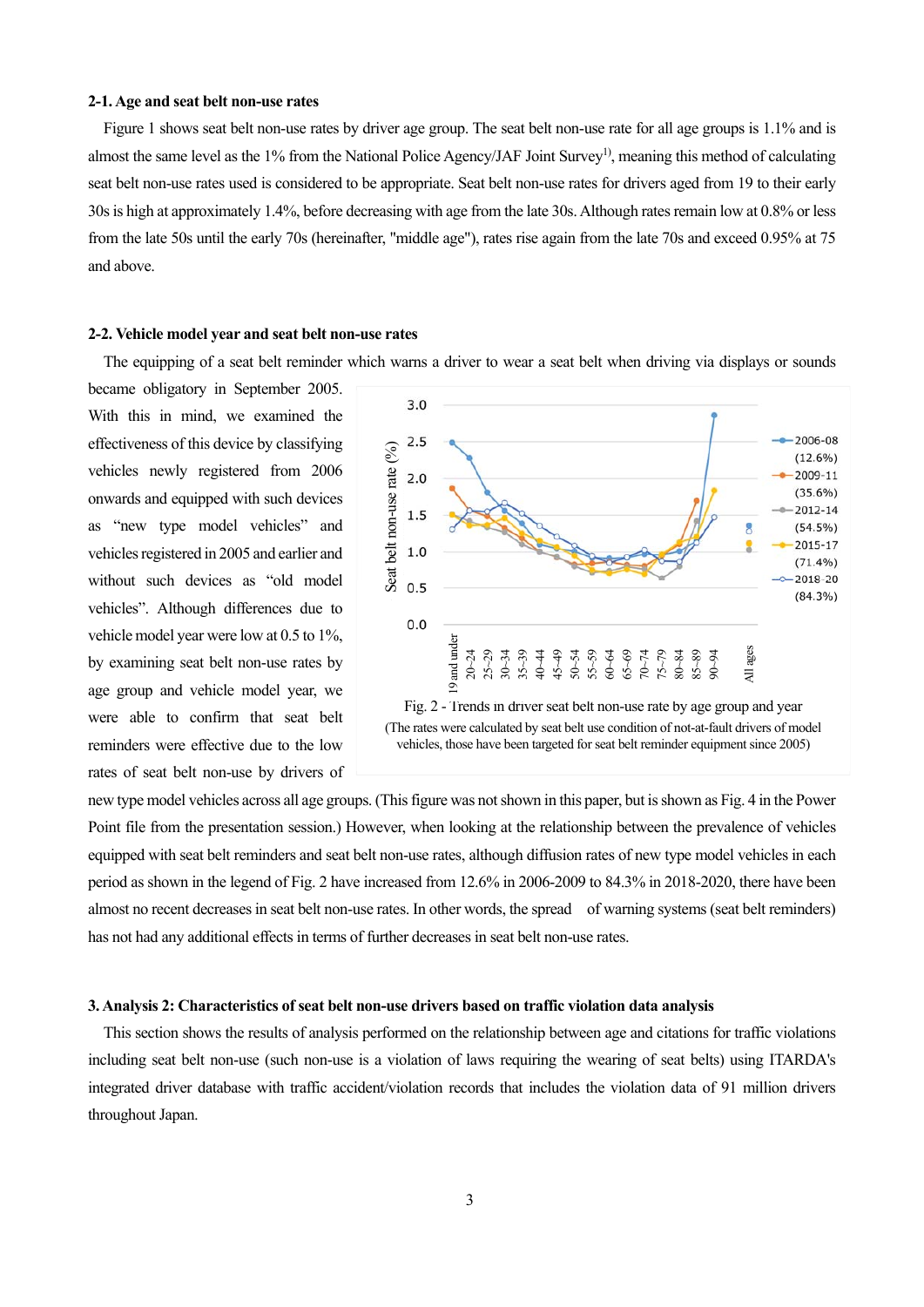#### **2-1. Age and seat belt non-use rates**

Figure 1 shows seat belt non-use rates by driver age group. The seat belt non-use rate for all age groups is 1.1% and is almost the same level as the 1% from the National Police Agency/JAF Joint Survey<sup>1)</sup>, meaning this method of calculating seat belt non-use rates used is considered to be appropriate. Seat belt non-use rates for drivers aged from 19 to their early 30s is high at approximately 1.4%, before decreasing with age from the late 30s. Although rates remain low at 0.8% or less from the late 50s until the early 70s (hereinafter, "middle age"), rates rise again from the late 70s and exceed 0.95% at 75 and above.

## **2-2. Vehicle model year and seat belt non-use rates**

The equipping of a seat belt reminder which warns a driver to wear a seat belt when driving via displays or sounds

became obligatory in September 2005. With this in mind, we examined the effectiveness of this device by classifying vehicles newly registered from 2006 onwards and equipped with such devices as "new type model vehicles" and vehicles registered in 2005 and earlier and without such devices as "old model vehicles". Although differences due to vehicle model year were low at 0.5 to 1%, by examining seat belt non-use rates by age group and vehicle model year, we were able to confirm that seat belt reminders were effective due to the low rates of seat belt non-use by drivers of





new type model vehicles across all age groups. (This figure was not shown in this paper, but is shown as Fig. 4 in the Power Point file from the presentation session.) However, when looking at the relationship between the prevalence of vehicles equipped with seat belt reminders and seat belt non-use rates, although diffusion rates of new type model vehicles in each period as shown in the legend of Fig. 2 have increased from 12.6% in 2006-2009 to 84.3% in 2018-2020, there have been almost no recent decreases in seat belt non-use rates. In other words, the spread of warning systems (seat belt reminders) has not had any additional effects in terms of further decreases in seat belt non-use rates.

### **3. Analysis 2: Characteristics of seat belt non-use drivers based on traffic violation data analysis**

This section shows the results of analysis performed on the relationship between age and citations for traffic violations including seat belt non-use (such non-use is a violation of laws requiring the wearing of seat belts) using ITARDA's integrated driver database with traffic accident/violation records that includes the violation data of 91 million drivers throughout Japan.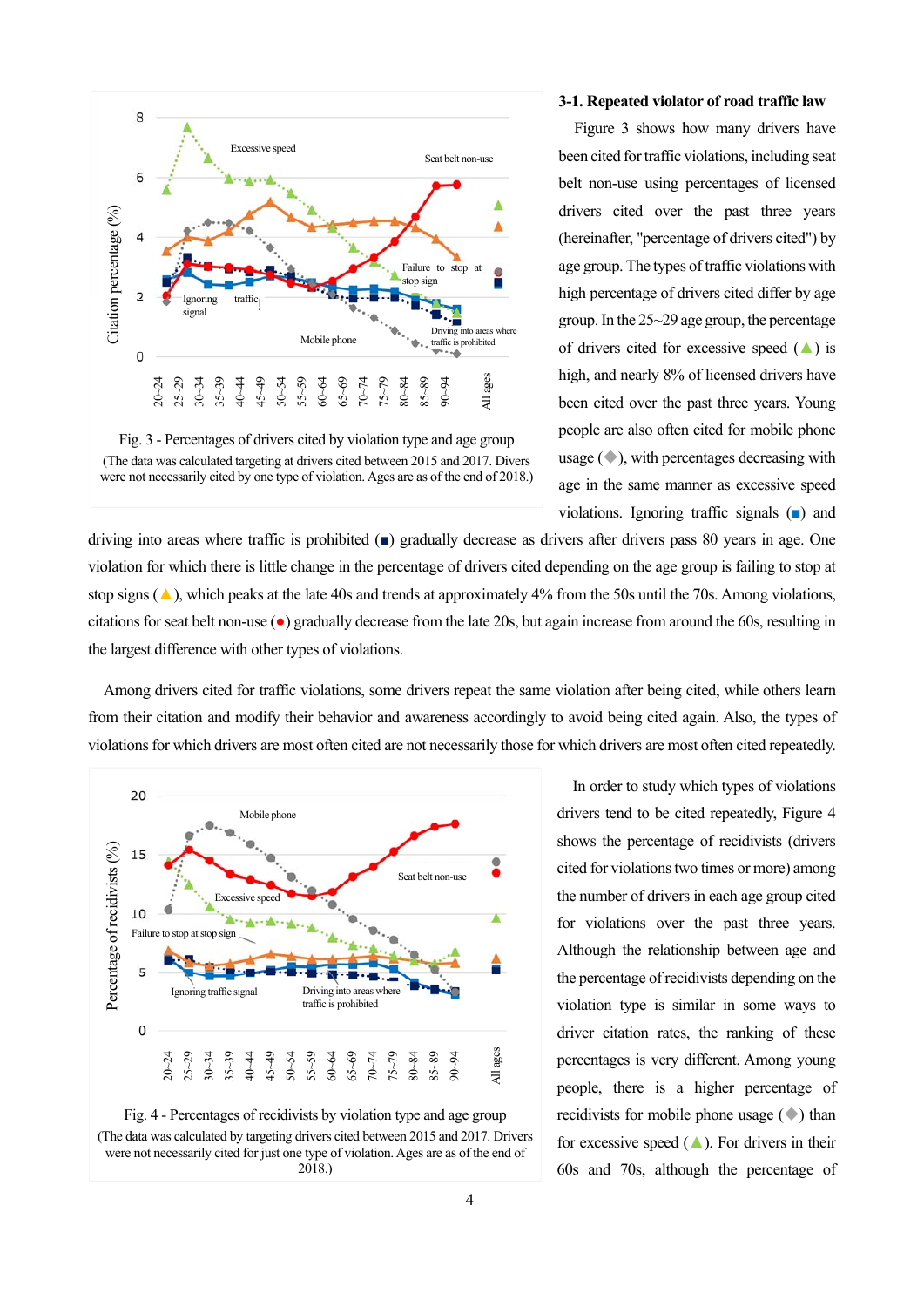

Fig. 3 - Percentages of drivers cited by violation type and age group (The data was calculated targeting at drivers cited between 2015 and 2017. Divers were not necessarily cited by one type of violation. Ages are as of the end of 2018.)

#### **3-1. Repeated violator of road traffic law**

Figure 3 shows how many drivers have been cited for traffic violations, including seat belt non-use using percentages of licensed drivers cited over the past three years (hereinafter, "percentage of drivers cited") by age group. The types of traffic violations with high percentage of drivers cited differ by age group. In the 25~29 age group, the percentage of drivers cited for excessive speed  $($   $\blacktriangle)$  is high, and nearly 8% of licensed drivers have been cited over the past three years. Young people are also often cited for mobile phone usage (◆), with percentages decreasing with age in the same manner as excessive speed violations. Ignoring traffic signals (■) and

driving into areas where traffic is prohibited (■) gradually decrease as drivers after drivers pass 80 years in age. One violation for which there is little change in the percentage of drivers cited depending on the age group is failing to stop at stop signs  $(\triangle)$ , which peaks at the late 40s and trends at approximately 4% from the 50s until the 70s. Among violations, citations for seat belt non-use (●) gradually decrease from the late 20s, but again increase from around the 60s, resulting in the largest difference with other types of violations.

Among drivers cited for traffic violations, some drivers repeat the same violation after being cited, while others learn from their citation and modify their behavior and awareness accordingly to avoid being cited again. Also, the types of violations for which drivers are most often cited are not necessarily those for which drivers are most often cited repeatedly.





In order to study which types of violations drivers tend to be cited repeatedly, Figure 4 shows the percentage of recidivists (drivers cited for violations two times or more) among the number of drivers in each age group cited for violations over the past three years. Although the relationship between age and the percentage of recidivists depending on the violation type is similar in some ways to driver citation rates, the ranking of these percentages is very different. Among young people, there is a higher percentage of recidivists for mobile phone usage (◆) than for excessive speed  $($  $\blacktriangle)$ . For drivers in their 60s and 70s, although the percentage of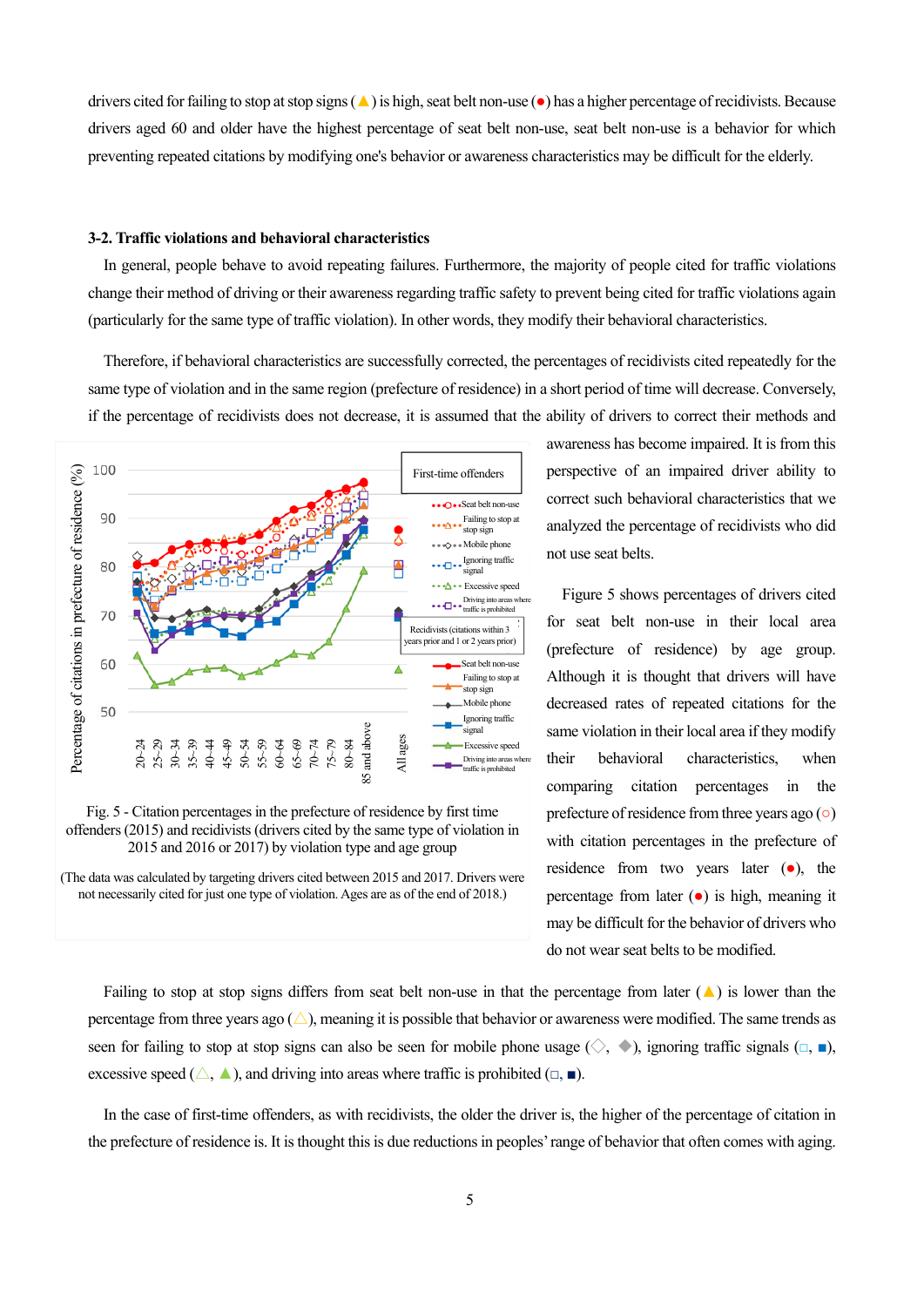drivers cited for failing to stop at stop signs (**△**) is high, seat belt non-use (●) has a higher percentage of recidivists. Because drivers aged 60 and older have the highest percentage of seat belt non-use, seat belt non-use is a behavior for which preventing repeated citations by modifying one's behavior or awareness characteristics may be difficult for the elderly.

### **3-2. Traffic violations and behavioral characteristics**

In general, people behave to avoid repeating failures. Furthermore, the majority of people cited for traffic violations change their method of driving or their awareness regarding traffic safety to prevent being cited for traffic violations again (particularly for the same type of traffic violation). In other words, they modify their behavioral characteristics.

Therefore, if behavioral characteristics are successfully corrected, the percentages of recidivists cited repeatedly for the same type of violation and in the same region (prefecture of residence) in a short period of time will decrease. Conversely, if the percentage of recidivists does not decrease, it is assumed that the ability of drivers to correct their methods and





(The data was calculated by targeting drivers cited between 2015 and 2017. Drivers were not necessarily cited for just one type of violation. Ages are as of the end of 2018.)

awareness has become impaired. It is from this perspective of an impaired driver ability to correct such behavioral characteristics that we analyzed the percentage of recidivists who did not use seat belts.

Figure 5 shows percentages of drivers cited for seat belt non-use in their local area (prefecture of residence) by age group. Although it is thought that drivers will have decreased rates of repeated citations for the same violation in their local area if they modify their behavioral characteristics, when comparing citation percentages in the prefecture of residence from three years ago (○) with citation percentages in the prefecture of residence from two years later (●), the percentage from later  $(\bullet)$  is high, meaning it may be difficult for the behavior of drivers who do not wear seat belts to be modified.

Failing to stop at stop signs differs from seat belt non-use in that the percentage from later  $(A)$  is lower than the percentage from three years ago  $(\triangle)$ , meaning it is possible that behavior or awareness were modified. The same trends as seen for failing to stop at stop signs can also be seen for mobile phone usage ( $\diamondsuit$ ,  $\bullet$ ), ignoring traffic signals ( $\Box$ ,  $\Box$ ), excessive speed ( $\triangle$ ,  $\blacktriangle$ ), and driving into areas where traffic is prohibited ( $\Box$ ,  $\blacksquare$ ).

In the case of first-time offenders, as with recidivists, the older the driver is, the higher of the percentage of citation in the prefecture of residence is. It is thought this is due reductions in peoples' range of behavior that often comes with aging.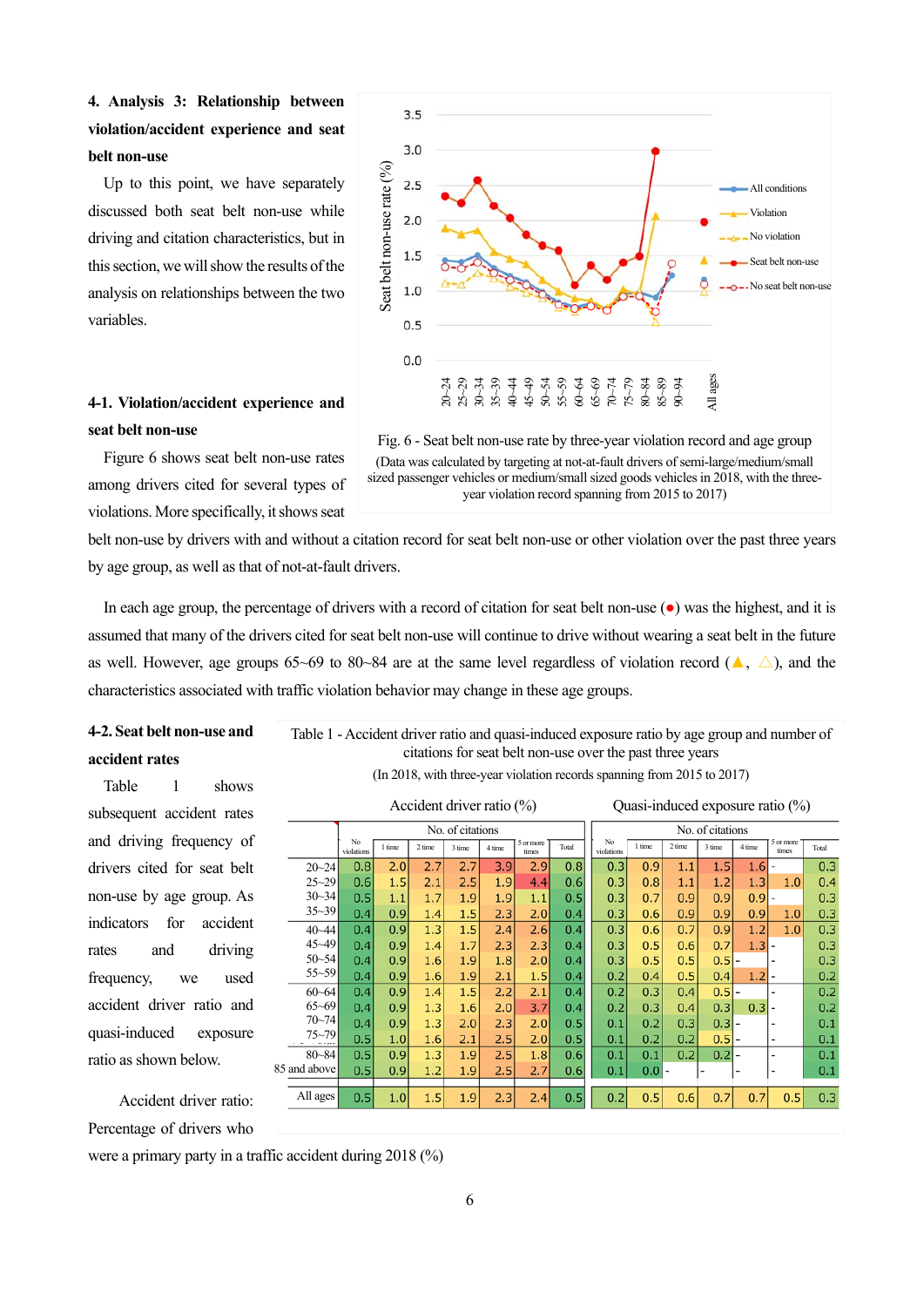## **4. Analysis 3: Relationship between violation/accident experience and seat belt non-use**

Up to this point, we have separately discussed both seat belt non-use while driving and citation characteristics, but in this section, we will show the results of the analysis on relationships between the two variables.

## **4-1. Violation/accident experience and seat belt non-use**

Figure 6 shows seat belt non-use rates among drivers cited for several types of violations. More specifically, it shows seat





belt non-use by drivers with and without a citation record for seat belt non-use or other violation over the past three years by age group, as well as that of not-at-fault drivers.

In each age group, the percentage of drivers with a record of citation for seat belt non-use (●) was the highest, and it is assumed that many of the drivers cited for seat belt non-use will continue to drive without wearing a seat belt in the future as well. However, age groups 65~69 to 80~84 are at the same level regardless of violation record ( $\blacktriangle$ ,  $\triangle$ ), and the characteristics associated with traffic violation behavior may change in these age groups.

## **4-2. Seat belt non-use and accident rates**

Table 1 shows subsequent accident rates and driving frequency of drivers cited for seat belt non-use by age group. As indicators for accident rates and driving frequency, we used accident driver ratio and quasi-induced exposure ratio as shown below.

Table 1 - Accident driver ratio and quasi-induced exposure ratio by age group and number of citations for seat belt non-use over the past three years

(In 2018, with three-year violation records spanning from 2015 to 2017)

Accident driver ratio (%) Quasi-induced exposure ratio (%)

|  |              | No. of citations |        |        |        |        |                    |       | No. of citations |        |         |        |        |                    |       |
|--|--------------|------------------|--------|--------|--------|--------|--------------------|-------|------------------|--------|---------|--------|--------|--------------------|-------|
|  |              | No<br>violations | 1 time | 2 time | 3 time | 4 time | 5 or more<br>times | Total | No<br>violations | 1 time | 2 time  | 3 time | 4 time | 5 or more<br>times | Total |
|  | $20 - 24$    | 0.8              | 2.0    | 2.7    | 2.7    | 3.9    | 2.9                | 0.8   | 0.3              | 0.9    | 1.1     | 1.5    | 1.6    |                    | 0.3   |
|  | $25 - 29$    | 0.6              | 1.5    | 2.1    | 2.5    | 1.9    | 4.4                | 0.6   | 0.3              | 0.8    | $1.1\,$ | 1.2    | 1.3    | 1.0                | 0.4   |
|  | $30 - 34$    | 0.5              | 1.1    | 1.7    | 1.9    | 1.9    | 1.1                | 0.5   | 0.3              | 0.7    | 0.9     | 0.9    | 0.9    |                    | 0.3   |
|  | $35 - 39$    | 0.4              | 0.9    | 1.4    | 1.5    | 2.3    | 2.0                | 0.4   | 0.3              | 0.6    | 0.9     | 0.9    | 0.9    | 1.0                | 0.3   |
|  | $40 - 44$    | 0.4              | 0.9    | 1.3    | 1.5    | 2.4    | 2.6                | 0.4   | 0.3              | 0.6    | 0.7     | 0.9    | 1.2    | 1.0                | 0.3   |
|  | $45 - 49$    | 0.4              | 0.9    | 1.4    | 1.7    | 2.3    | 2.3                | 0.4   | 0.3              | 0.5    | 0.6     | 0.7    | 1.3    |                    | 0.3   |
|  | $50 - 54$    | 0.4              | 0.9    | 1.6    | 1.9    | 1.8    | 2.0                | 0.4   | 0.3              | 0.5    | 0.5     | 0.5    |        |                    | 0.3   |
|  | $55 - 59$    | 0.4              | 0.9    | 1.6    | 1.9    | 2.1    | 1.5                | 0.4   | 0.2              | 0.4    | 0.5     | 0.4    | 1.2    |                    | 0.2   |
|  | $60 - 64$    | 0.4              | 0.9    | 1.4    | 1.5    | 2.2    | 2.1                | 0.4   | 0.2              | 0.3    | 0.4     | 0.5    |        |                    | 0.2   |
|  | $65 - 69$    | 0.4              | 0.9    | 1.3    | 1.6    | 2.0    | 3.7                | 0.4   | 0.2              | 0.3    | 0.4     | 0.3    | 0.3    |                    | 0.2   |
|  | $70 - 74$    | 0.4              | 0.9    | 1.3    | 2.0    | 2.3    | 2.0                | 0.5   | 0.1              | 0.2    | 0.3     | 0.3    |        |                    | 0.1   |
|  | $75 - 79$    | 0.5              | 1.0    | 1.6    | 2.1    | 2.5    | 2.0                | 0.5   | 0.1              | 0.2    | 0.2     | 0.5    |        |                    | 0.1   |
|  | $80 - 84$    | 0.5              | 0.9    | 1.3    | 1.9    | 2.5    | 1.8                | 0.6   | 0.1              | 0.1    | 0.2     | 0.2    |        | ٠                  | 0.1   |
|  | 85 and above | 0.5              | 0.9    | 1.2    | 1.9    | 2.5    | 2.7                | 0.6   | 0.1              | 0.0    |         |        | -      | ٠                  | 0.1   |
|  | All ages     | 0.5              | 1.0    | 1.5    | 1.9    | 2.3    | 2.4                | 0.5   | 0.2              | 0.5    | 0.6     | 0.7    | 0.7    | 0.5                | 0.3   |

Accident driver ratio: Percentage of drivers who

were a primary party in a traffic accident during 2018 (%)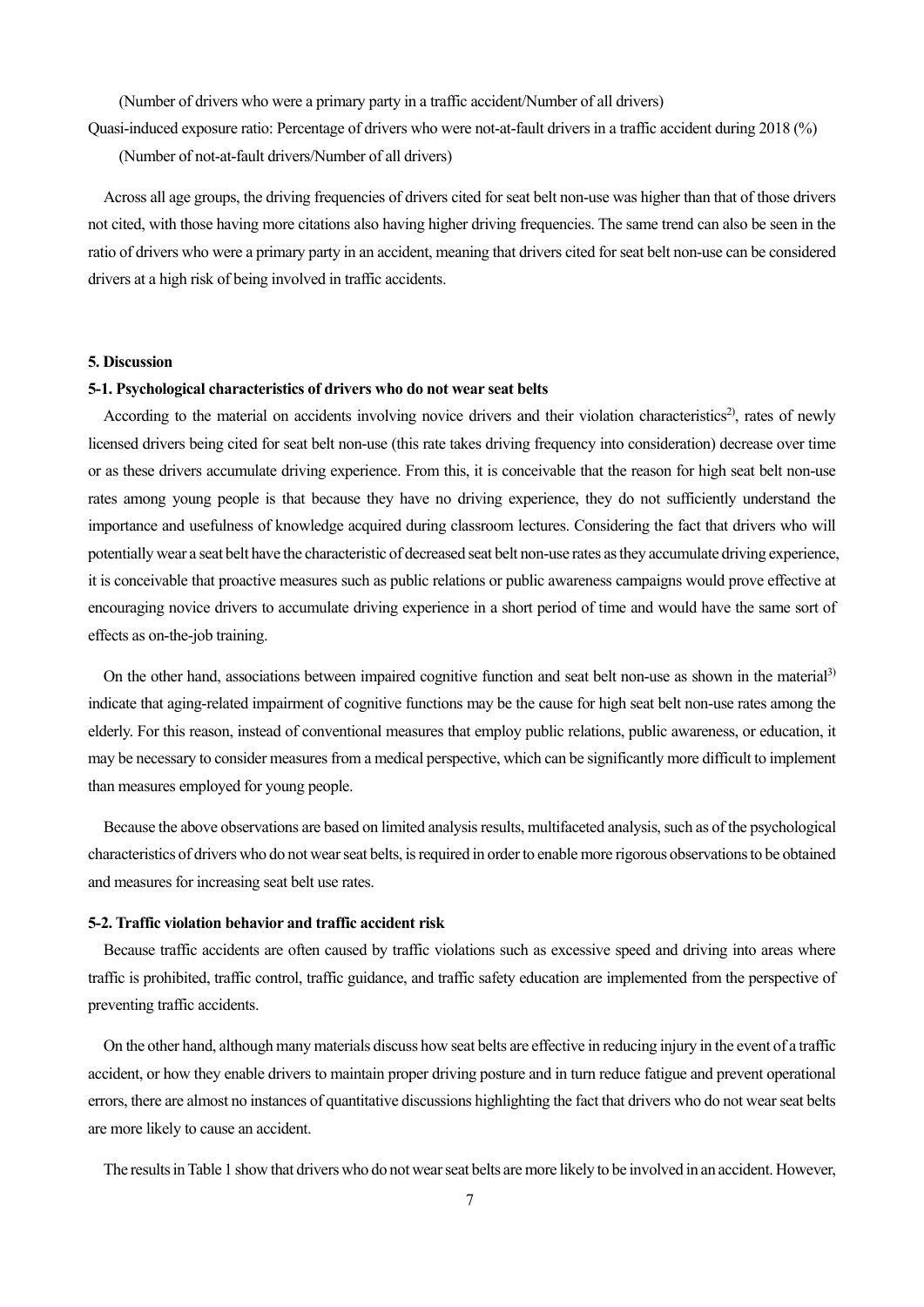(Number of drivers who were a primary party in a traffic accident/Number of all drivers)

Quasi-induced exposure ratio: Percentage of drivers who were not-at-fault drivers in a traffic accident during 2018 (%)

(Number of not-at-fault drivers/Number of all drivers)

Across all age groups, the driving frequencies of drivers cited for seat belt non-use was higher than that of those drivers not cited, with those having more citations also having higher driving frequencies. The same trend can also be seen in the ratio of drivers who were a primary party in an accident, meaning that drivers cited for seat belt non-use can be considered drivers at a high risk of being involved in traffic accidents.

### **5. Discussion**

## **5-1. Psychological characteristics of drivers who do not wear seat belts**

According to the material on accidents involving novice drivers and their violation characteristics<sup>2)</sup>, rates of newly licensed drivers being cited for seat belt non-use (this rate takes driving frequency into consideration) decrease over time or as these drivers accumulate driving experience. From this, it is conceivable that the reason for high seat belt non-use rates among young people is that because they have no driving experience, they do not sufficiently understand the importance and usefulness of knowledge acquired during classroom lectures. Considering the fact that drivers who will potentially wear a seat belt have the characteristic of decreased seat belt non-use rates as they accumulate driving experience, it is conceivable that proactive measures such as public relations or public awareness campaigns would prove effective at encouraging novice drivers to accumulate driving experience in a short period of time and would have the same sort of effects as on-the-job training.

On the other hand, associations between impaired cognitive function and seat belt non-use as shown in the material3) indicate that aging-related impairment of cognitive functions may be the cause for high seat belt non-use rates among the elderly. For this reason, instead of conventional measures that employ public relations, public awareness, or education, it may be necessary to consider measures from a medical perspective, which can be significantly more difficult to implement than measures employed for young people.

Because the above observations are based on limited analysis results, multifaceted analysis, such as of the psychological characteristics of drivers who do not wear seat belts, is required in order to enable more rigorous observations to be obtained and measures for increasing seat belt use rates.

### **5-2. Traffic violation behavior and traffic accident risk**

Because traffic accidents are often caused by traffic violations such as excessive speed and driving into areas where traffic is prohibited, traffic control, traffic guidance, and traffic safety education are implemented from the perspective of preventing traffic accidents.

On the other hand, although many materials discuss how seat belts are effective in reducing injury in the event of a traffic accident, or how they enable drivers to maintain proper driving posture and in turn reduce fatigue and prevent operational errors, there are almost no instances of quantitative discussions highlighting the fact that drivers who do not wear seat belts are more likely to cause an accident.

The results in Table 1 show that drivers who do not wear seat belts are more likely to be involved in an accident. However,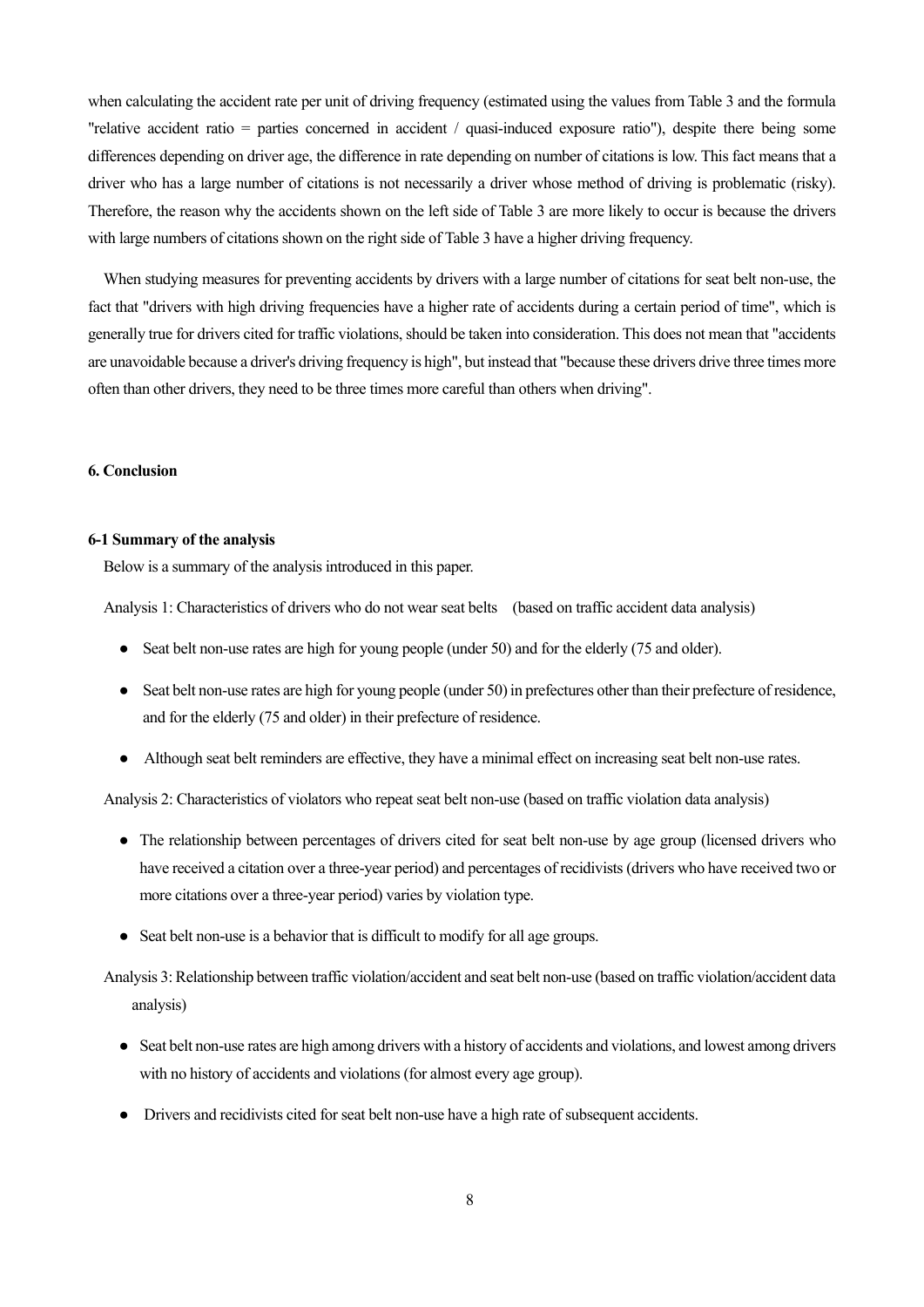when calculating the accident rate per unit of driving frequency (estimated using the values from Table 3 and the formula "relative accident ratio = parties concerned in accident / quasi-induced exposure ratio"), despite there being some differences depending on driver age, the difference in rate depending on number of citations is low. This fact means that a driver who has a large number of citations is not necessarily a driver whose method of driving is problematic (risky). Therefore, the reason why the accidents shown on the left side of Table 3 are more likely to occur is because the drivers with large numbers of citations shown on the right side of Table 3 have a higher driving frequency.

When studying measures for preventing accidents by drivers with a large number of citations for seat belt non-use, the fact that "drivers with high driving frequencies have a higher rate of accidents during a certain period of time", which is generally true for drivers cited for traffic violations, should be taken into consideration. This does not mean that "accidents are unavoidable because a driver's driving frequency is high", but instead that "because these drivers drive three times more often than other drivers, they need to be three times more careful than others when driving".

## **6. Conclusion**

### **6-1 Summary of the analysis**

Below is a summary of the analysis introduced in this paper.

Analysis 1: Characteristics of drivers who do not wear seat belts (based on traffic accident data analysis)

- Seat belt non-use rates are high for young people (under 50) and for the elderly (75 and older).
- Seat belt non-use rates are high for young people (under 50) in prefectures other than their prefecture of residence, and for the elderly (75 and older) in their prefecture of residence.
- Although seat belt reminders are effective, they have a minimal effect on increasing seat belt non-use rates.

Analysis 2: Characteristics of violators who repeat seat belt non-use (based on traffic violation data analysis)

- The relationship between percentages of drivers cited for seat belt non-use by age group (licensed drivers who have received a citation over a three-year period) and percentages of recidivists (drivers who have received two or more citations over a three-year period) varies by violation type.
- Seat belt non-use is a behavior that is difficult to modify for all age groups.

Analysis 3: Relationship between traffic violation/accident and seat belt non-use (based on traffic violation/accident data analysis)

- Seat belt non-use rates are high among drivers with a history of accidents and violations, and lowest among drivers with no history of accidents and violations (for almost every age group).
- Drivers and recidivists cited for seat belt non-use have a high rate of subsequent accidents.